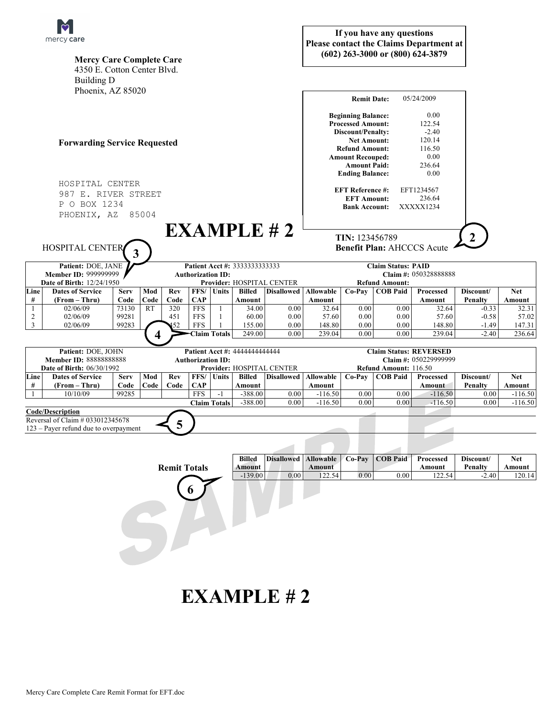

| $111C1C$ y Care<br><b>Mercy Care Complete Care</b><br>4350 E. Cotton Center Blvd.<br><b>Building D</b> |                                                                                                      |                         |                |                                                                                        |                                                                       |                                                     |                                    |                              |                                                                                                                                                                                                       |                              | (602) 263-3000 or (800) 624-3879 | <b>Please contact the Claims Department at</b>                          |                                          |                                    |
|--------------------------------------------------------------------------------------------------------|------------------------------------------------------------------------------------------------------|-------------------------|----------------|----------------------------------------------------------------------------------------|-----------------------------------------------------------------------|-----------------------------------------------------|------------------------------------|------------------------------|-------------------------------------------------------------------------------------------------------------------------------------------------------------------------------------------------------|------------------------------|----------------------------------|-------------------------------------------------------------------------|------------------------------------------|------------------------------------|
|                                                                                                        | Phoenix, AZ 85020                                                                                    |                         |                |                                                                                        |                                                                       |                                                     |                                    |                              |                                                                                                                                                                                                       | <b>Remit Date:</b>           |                                  | 05/24/2009                                                              |                                          |                                    |
| <b>Forwarding Service Requested</b>                                                                    |                                                                                                      |                         |                |                                                                                        |                                                                       |                                                     |                                    |                              | <b>Beginning Balance:</b><br><b>Processed Amount:</b><br>Discount/Penalty:<br><b>Net Amount:</b><br><b>Refund Amount:</b><br><b>Amount Recouped:</b><br><b>Amount Paid:</b><br><b>Ending Balance:</b> |                              |                                  | 0.00<br>122.54<br>$-2.40$<br>120.14<br>116.50<br>0.00<br>236.64<br>0.00 |                                          |                                    |
| HOSPITAL CENTER<br>987 E. RIVER STREET<br>P O BOX 1234<br>PHOENIX, AZ<br>85004                         |                                                                                                      |                         |                |                                                                                        |                                                                       |                                                     |                                    |                              | <b>EFT Reference #:</b><br>EFT1234567<br>236.64<br><b>EFT Amount:</b><br>XXXXX1234<br><b>Bank Account:</b>                                                                                            |                              |                                  |                                                                         |                                          |                                    |
|                                                                                                        | HOSPITAL CENTER                                                                                      |                         | EXAMPLE H2     |                                                                                        | $\overline{2}$<br>TIN: 123456789<br><b>Benefit Plan: AHCCCS Acute</b> |                                                     |                                    |                              |                                                                                                                                                                                                       |                              |                                  |                                                                         |                                          |                                    |
| Patient: DOE, JANE<br>Member ID: 999999999<br>Date of Birth: 12/24/1950                                |                                                                                                      |                         |                | Patient Acct #: 3333333333333<br><b>Authorization ID:</b><br>Provider: HOSPITAL CENTER |                                                                       |                                                     |                                    |                              | <b>Claim Status: PAID</b><br>Claim #: 050328888888<br><b>Refund Amount:</b>                                                                                                                           |                              |                                  |                                                                         |                                          |                                    |
| Line<br>#                                                                                              | <b>Dates of Service</b><br>(From – Thru)                                                             | <b>Serv</b><br>Code     | Mod<br>Code    | Rev<br>Code                                                                            | FFS/<br><b>CAP</b>                                                    | <b>Units</b>                                        | <b>Billed</b><br>Amount            | <b>Disallowed</b>            | <b>Allowable</b><br>Amount                                                                                                                                                                            | Co-Pav                       | <b>COB Paid</b>                  | Processed<br>Amount                                                     | Discount/<br>Penalty                     | <b>Net</b><br>Amount               |
| 1<br>$\overline{c}$<br>3                                                                               | 02/06/09<br>02/06/09<br>02/06/09                                                                     | 73130<br>99281<br>99283 | <b>RT</b><br>4 | 320<br>451<br>52                                                                       | <b>FFS</b><br><b>FFS</b><br><b>FFS</b>                                | $\mathbf{1}$<br>$\mathbf{1}$<br><b>Claim Totals</b> | 34.00<br>60.00<br>155.00<br>249.00 | 0.00<br>0.00<br>0.00<br>0.00 | 32.64<br>57.60<br>148.80<br>239.04                                                                                                                                                                    | 0.00<br>0.00<br>0.00<br>0.00 | 0.00<br>0.00<br>0.00<br>0.00     | 32.64<br>57.60<br>148.80<br>239.04                                      | $-0.33$<br>$-0.58$<br>$-1.49$<br>$-2.40$ | 32.31<br>57.02<br>147.31<br>236.64 |
| Patient: DOE, JOHN<br><b>Member ID: 88888888888</b><br><b>Date of Birth: 06/30/1992</b>                |                                                                                                      |                         |                | Patient Acct #: 4444444444444<br><b>Authorization ID:</b><br>Provider: HOSPITAL CENTER |                                                                       |                                                     |                                    |                              | <b>Claim Status: REVERSED</b><br>Claim #: 050229999999<br>Refund Amount: 116.50                                                                                                                       |                              |                                  |                                                                         |                                          |                                    |
| Line<br>#                                                                                              | <b>Dates of Service</b><br>(From – Thru)                                                             | <b>Serv</b><br>Code     | Mod<br>Code    | Rev<br>Code                                                                            | FFS/<br><b>CAP</b>                                                    | Units                                               | <b>Billed</b><br>Amount            | <b>Disallowed</b>            | <b>Allowable</b><br>Amount                                                                                                                                                                            | Co-Pay                       | <b>COB Paid</b>                  | <b>Processed</b><br>Amount                                              | Discount/<br>Penalty                     | <b>Net</b><br>Amount               |
|                                                                                                        | 10/10/09                                                                                             | 99285                   |                |                                                                                        | <b>FFS</b>                                                            | $-1$                                                | $-388.00$                          | 0.00                         | $-116.50$                                                                                                                                                                                             | 0.00                         | 0.00                             | $-116.50$                                                               | 0.00                                     | $-116.50$                          |
|                                                                                                        |                                                                                                      |                         |                |                                                                                        |                                                                       | <b>Claim Totals</b>                                 | $-388.00$                          | 0.00                         | $-116.50$                                                                                                                                                                                             | 0.00                         | 0.00                             | $-116.50$                                                               | 0.00                                     | $-116.50$                          |
|                                                                                                        | <b>Code/Description</b><br>Reversal of Claim # 033012345678<br>123 – Payer refund due to overpayment |                         |                | 5                                                                                      |                                                                       |                                                     |                                    |                              |                                                                                                                                                                                                       |                              |                                  |                                                                         |                                          |                                    |
|                                                                                                        |                                                                                                      |                         |                |                                                                                        |                                                                       |                                                     | <b>Billed</b>                      | <b>Disallowed</b>            | <b>Allowable</b>                                                                                                                                                                                      | Co-Pay                       | <b>COB Paid</b>                  | Processed                                                               | Discount/                                | <b>Net</b>                         |

**If you have any questions** 

## **EXAMPLE # 2**

**6**